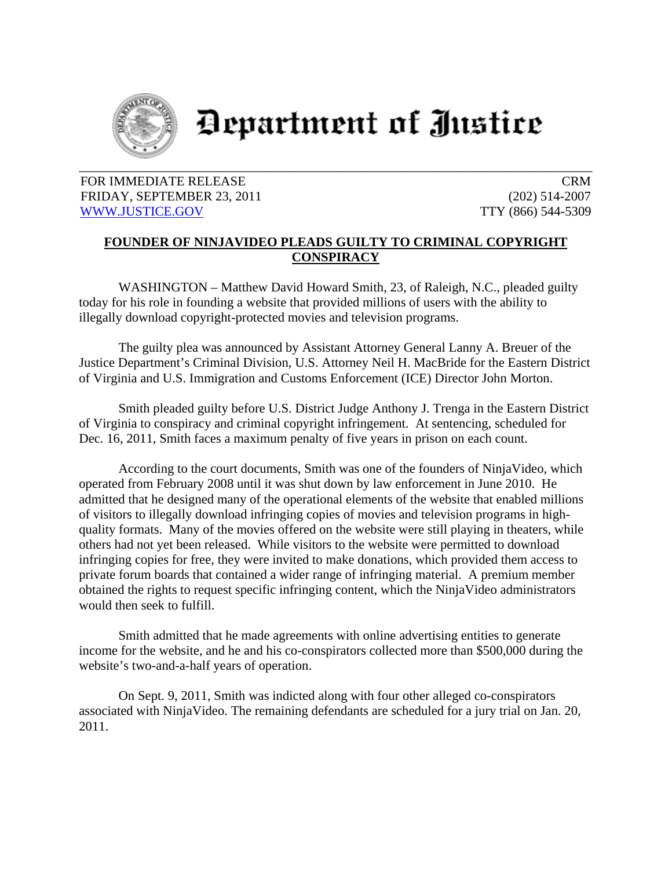

## Department of Justice

## FOR IMMEDIATE RELEASE CRM FRIDAY, SEPTEMBER 23, 2011 (202) 514-2007 WWW.JUSTICE.GOV TTY (866) 544-5309

## **FOUNDER OF NINJAVIDEO PLEADS GUILTY TO CRIMINAL COPYRIGHT CONSPIRACY**

WASHINGTON – Matthew David Howard Smith, 23, of Raleigh, N.C., pleaded guilty today for his role in founding a website that provided millions of users with the ability to illegally download copyright-protected movies and television programs.

 The guilty plea was announced by Assistant Attorney General Lanny A. Breuer of the Justice Department's Criminal Division, U.S. Attorney Neil H. MacBride for the Eastern District of Virginia and U.S. Immigration and Customs Enforcement (ICE) Director John Morton.

Smith pleaded guilty before U.S. District Judge Anthony J. Trenga in the Eastern District of Virginia to conspiracy and criminal copyright infringement. At sentencing, scheduled for Dec. 16, 2011, Smith faces a maximum penalty of five years in prison on each count.

 According to the court documents, Smith was one of the founders of NinjaVideo, which operated from February 2008 until it was shut down by law enforcement in June 2010. He admitted that he designed many of the operational elements of the website that enabled millions of visitors to illegally download infringing copies of movies and television programs in highquality formats. Many of the movies offered on the website were still playing in theaters, while others had not yet been released. While visitors to the website were permitted to download infringing copies for free, they were invited to make donations, which provided them access to private forum boards that contained a wider range of infringing material. A premium member obtained the rights to request specific infringing content, which the NinjaVideo administrators would then seek to fulfill.

Smith admitted that he made agreements with online advertising entities to generate income for the website, and he and his co-conspirators collected more than \$500,000 during the website's two-and-a-half years of operation.

 On Sept. 9, 2011, Smith was indicted along with four other alleged co-conspirators associated with NinjaVideo. The remaining defendants are scheduled for a jury trial on Jan. 20, 2011.